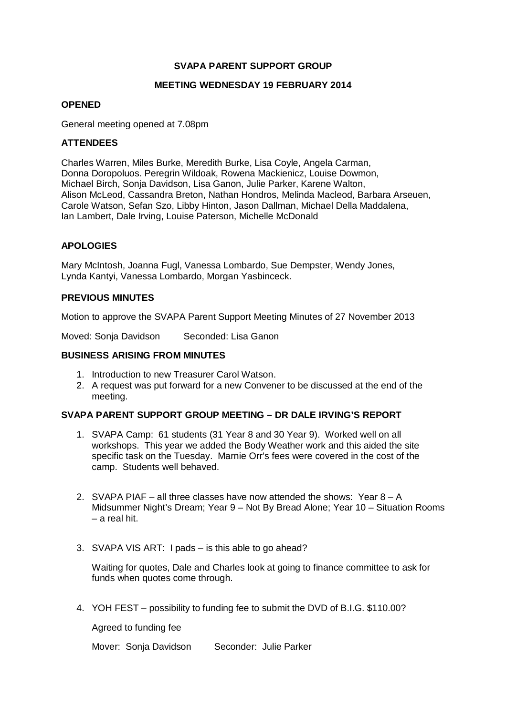# **SVAPA PARENT SUPPORT GROUP**

## **MEETING WEDNESDAY 19 FEBRUARY 2014**

#### **OPENED**

General meeting opened at 7.08pm

## **ATTENDEES**

Charles Warren, Miles Burke, Meredith Burke, Lisa Coyle, Angela Carman, Donna Doropoluos. Peregrin Wildoak, Rowena Mackienicz, Louise Dowmon, Michael Birch, Sonja Davidson, Lisa Ganon, Julie Parker, Karene Walton, Alison McLeod, Cassandra Breton, Nathan Hondros, Melinda Macleod, Barbara Arseuen, Carole Watson, Sefan Szo, Libby Hinton, Jason Dallman, Michael Della Maddalena, Ian Lambert, Dale Irving, Louise Paterson, Michelle McDonald

## **APOLOGIES**

Mary McIntosh, Joanna Fugl, Vanessa Lombardo, Sue Dempster, Wendy Jones, Lynda Kantyi, Vanessa Lombardo, Morgan Yasbinceck.

## **PREVIOUS MINUTES**

Motion to approve the SVAPA Parent Support Meeting Minutes of 27 November 2013

Moved: Sonja Davidson Seconded: Lisa Ganon

## **BUSINESS ARISING FROM MINUTES**

- 1. Introduction to new Treasurer Carol Watson.
- 2. A request was put forward for a new Convener to be discussed at the end of the meeting.

## **SVAPA PARENT SUPPORT GROUP MEETING – DR DALE IRVING'S REPORT**

- 1. SVAPA Camp: 61 students (31 Year 8 and 30 Year 9). Worked well on all workshops. This year we added the Body Weather work and this aided the site specific task on the Tuesday. Marnie Orr's fees were covered in the cost of the camp. Students well behaved.
- 2. SVAPA PIAF all three classes have now attended the shows: Year 8 A Midsummer Night's Dream; Year 9 – Not By Bread Alone; Year 10 – Situation Rooms – a real hit.
- 3. SVAPA VIS ART: I pads is this able to go ahead?

Waiting for quotes, Dale and Charles look at going to finance committee to ask for funds when quotes come through.

4. YOH FEST – possibility to funding fee to submit the DVD of B.I.G. \$110.00?

Agreed to funding fee

Mover: Sonja Davidson Seconder: Julie Parker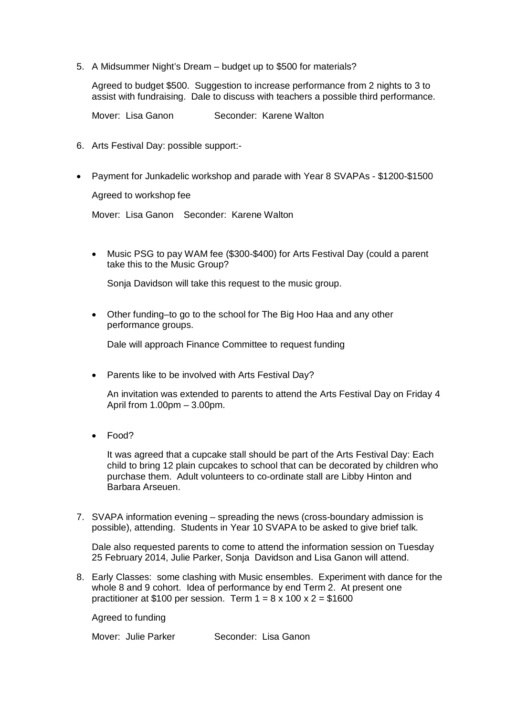5. A Midsummer Night's Dream – budget up to \$500 for materials?

Agreed to budget \$500. Suggestion to increase performance from 2 nights to 3 to assist with fundraising. Dale to discuss with teachers a possible third performance.

Mover: Lisa Ganon Seconder: Karene Walton

- 6. Arts Festival Day: possible support:-
- Payment for Junkadelic workshop and parade with Year 8 SVAPAs \$1200-\$1500

Agreed to workshop fee

Mover: Lisa Ganon Seconder: Karene Walton

• Music PSG to pay WAM fee (\$300-\$400) for Arts Festival Day (could a parent take this to the Music Group?

Sonja Davidson will take this request to the music group.

• Other funding–to go to the school for The Big Hoo Haa and any other performance groups.

Dale will approach Finance Committee to request funding

• Parents like to be involved with Arts Festival Day?

An invitation was extended to parents to attend the Arts Festival Day on Friday 4 April from 1.00pm – 3.00pm.

• Food?

It was agreed that a cupcake stall should be part of the Arts Festival Day: Each child to bring 12 plain cupcakes to school that can be decorated by children who purchase them. Adult volunteers to co-ordinate stall are Libby Hinton and Barbara Arseuen.

7. SVAPA information evening – spreading the news (cross-boundary admission is possible), attending. Students in Year 10 SVAPA to be asked to give brief talk.

Dale also requested parents to come to attend the information session on Tuesday 25 February 2014, Julie Parker, Sonja Davidson and Lisa Ganon will attend.

8. Early Classes: some clashing with Music ensembles. Experiment with dance for the whole 8 and 9 cohort. Idea of performance by end Term 2. At present one practitioner at \$100 per session. Term  $1 = 8 \times 100 \times 2 = $1600$ 

Agreed to funding

Mover: Julie Parker Seconder: Lisa Ganon